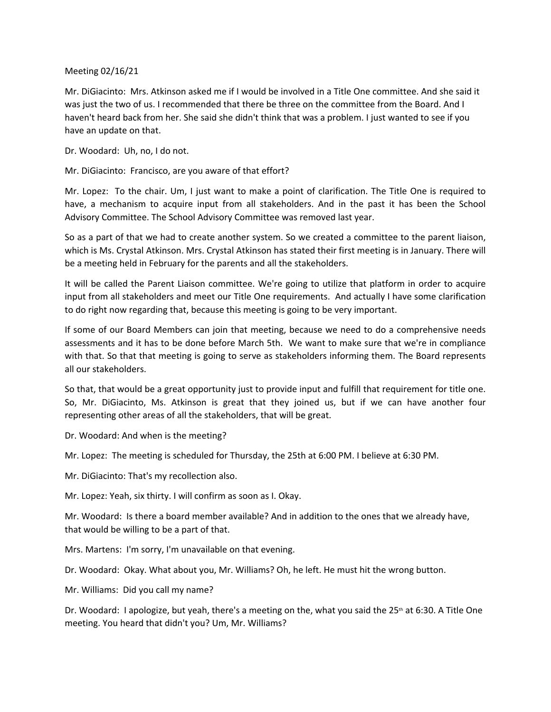Meeting 02/16/21

Mr. DiGiacinto: Mrs. Atkinson asked me if I would be involved in a Title One committee. And she said it was just the two of us. I recommended that there be three on the committee from the Board. And I haven't heard back from her. She said she didn't think that was a problem. I just wanted to see if you have an update on that.

Dr. Woodard: Uh, no, I do not.

Mr. DiGiacinto: Francisco, are you aware of that effort?

Mr. Lopez: To the chair. Um, I just want to make a point of clarification. The Title One is required to have, a mechanism to acquire input from all stakeholders. And in the past it has been the School Advisory Committee. The School Advisory Committee was removed last year.

So as a part of that we had to create another system. So we created a committee to the parent liaison, which is Ms. Crystal Atkinson. Mrs. Crystal Atkinson has stated their first meeting is in January. There will be a meeting held in February for the parents and all the stakeholders.

It will be called the Parent Liaison committee. We're going to utilize that platform in order to acquire input from all stakeholders and meet our Title One requirements. And actually I have some clarification to do right now regarding that, because this meeting is going to be very important.

If some of our Board Members can join that meeting, because we need to do a comprehensive needs assessments and it has to be done before March 5th. We want to make sure that we're in compliance with that. So that that meeting is going to serve as stakeholders informing them. The Board represents all our stakeholders.

So that, that would be a great opportunity just to provide input and fulfill that requirement for title one. So, Mr. DiGiacinto, Ms. Atkinson is great that they joined us, but if we can have another four representing other areas of all the stakeholders, that will be great.

Dr. Woodard: And when is the meeting?

Mr. Lopez: The meeting is scheduled for Thursday, the 25th at 6:00 PM. I believe at 6:30 PM.

Mr. DiGiacinto: That's my recollection also.

Mr. Lopez: Yeah, six thirty. I will confirm as soon as I. Okay.

Mr. Woodard: Is there a board member available? And in addition to the ones that we already have, that would be willing to be a part of that.

Mrs. Martens: I'm sorry, I'm unavailable on that evening.

Dr. Woodard: Okay. What about you, Mr. Williams? Oh, he left. He must hit the wrong button.

Mr. Williams: Did you call my name?

Dr. Woodard: I apologize, but yeah, there's a meeting on the, what you said the 25<sup>th</sup> at 6:30. A Title One meeting. You heard that didn't you? Um, Mr. Williams?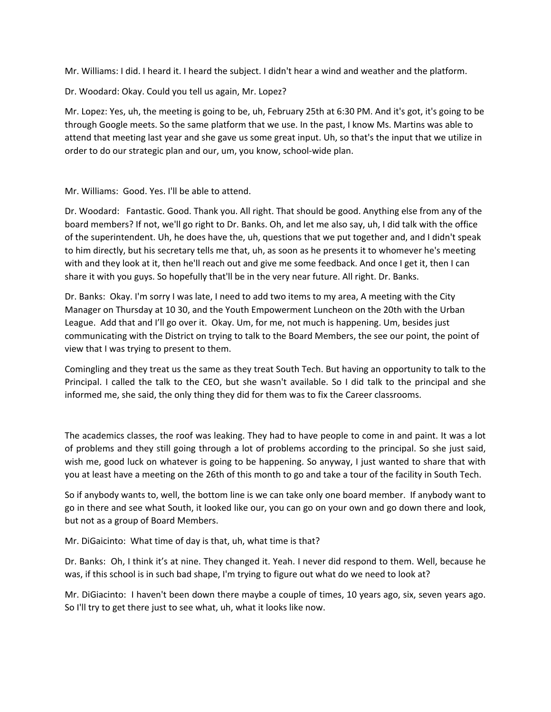Mr. Williams: I did. I heard it. I heard the subject. I didn't hear a wind and weather and the platform.

Dr. Woodard: Okay. Could you tell us again, Mr. Lopez?

Mr. Lopez: Yes, uh, the meeting is going to be, uh, February 25th at 6:30 PM. And it's got, it's going to be through Google meets. So the same platform that we use. In the past, I know Ms. Martins was able to attend that meeting last year and she gave us some great input. Uh, so that's the input that we utilize in order to do our strategic plan and our, um, you know, school-wide plan.

## Mr. Williams: Good. Yes. I'll be able to attend.

Dr. Woodard: Fantastic. Good. Thank you. All right. That should be good. Anything else from any of the board members? If not, we'll go right to Dr. Banks. Oh, and let me also say, uh, I did talk with the office of the superintendent. Uh, he does have the, uh, questions that we put together and, and I didn't speak to him directly, but his secretary tells me that, uh, as soon as he presents it to whomever he's meeting with and they look at it, then he'll reach out and give me some feedback. And once I get it, then I can share it with you guys. So hopefully that'll be in the very near future. All right. Dr. Banks.

Dr. Banks: Okay. I'm sorry I was late, I need to add two items to my area, A meeting with the City Manager on Thursday at 10 30, and the Youth Empowerment Luncheon on the 20th with the Urban League. Add that and I'll go over it. Okay. Um, for me, not much is happening. Um, besides just communicating with the District on trying to talk to the Board Members, the see our point, the point of view that I was trying to present to them.

Comingling and they treat us the same as they treat South Tech. But having an opportunity to talk to the Principal. I called the talk to the CEO, but she wasn't available. So I did talk to the principal and she informed me, she said, the only thing they did for them was to fix the Career classrooms.

The academics classes, the roof was leaking. They had to have people to come in and paint. It was a lot of problems and they still going through a lot of problems according to the principal. So she just said, wish me, good luck on whatever is going to be happening. So anyway, I just wanted to share that with you at least have a meeting on the 26th of this month to go and take a tour of the facility in South Tech.

So if anybody wants to, well, the bottom line is we can take only one board member. If anybody want to go in there and see what South, it looked like our, you can go on your own and go down there and look, but not as a group of Board Members.

Mr. DiGaicinto: What time of day is that, uh, what time is that?

Dr. Banks: Oh, I think it's at nine. They changed it. Yeah. I never did respond to them. Well, because he was, if this school is in such bad shape, I'm trying to figure out what do we need to look at?

Mr. DiGiacinto: I haven't been down there maybe a couple of times, 10 years ago, six, seven years ago. So I'll try to get there just to see what, uh, what it looks like now.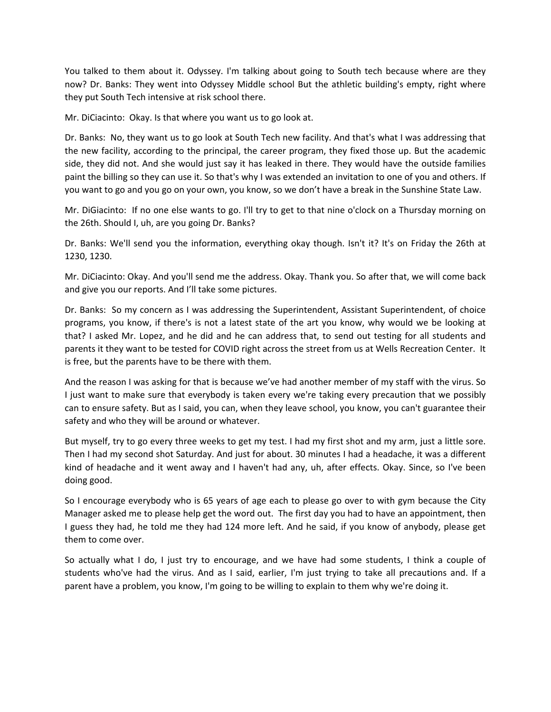You talked to them about it. Odyssey. I'm talking about going to South tech because where are they now? Dr. Banks: They went into Odyssey Middle school But the athletic building's empty, right where they put South Tech intensive at risk school there.

Mr. DiCiacinto: Okay. Is that where you want us to go look at.

Dr. Banks: No, they want us to go look at South Tech new facility. And that's what I was addressing that the new facility, according to the principal, the career program, they fixed those up. But the academic side, they did not. And she would just say it has leaked in there. They would have the outside families paint the billing so they can use it. So that's why I was extended an invitation to one of you and others. If you want to go and you go on your own, you know, so we don't have a break in the Sunshine State Law.

Mr. DiGiacinto: If no one else wants to go. I'll try to get to that nine o'clock on a Thursday morning on the 26th. Should I, uh, are you going Dr. Banks?

Dr. Banks: We'll send you the information, everything okay though. Isn't it? It's on Friday the 26th at 1230, 1230.

Mr. DiCiacinto: Okay. And you'll send me the address. Okay. Thank you. So after that, we will come back and give you our reports. And I'll take some pictures.

Dr. Banks: So my concern as I was addressing the Superintendent, Assistant Superintendent, of choice programs, you know, if there's is not a latest state of the art you know, why would we be looking at that? I asked Mr. Lopez, and he did and he can address that, to send out testing for all students and parents it they want to be tested for COVID right across the street from us at Wells Recreation Center. It is free, but the parents have to be there with them.

And the reason I was asking for that is because we've had another member of my staff with the virus. So I just want to make sure that everybody is taken every we're taking every precaution that we possibly can to ensure safety. But as I said, you can, when they leave school, you know, you can't guarantee their safety and who they will be around or whatever.

But myself, try to go every three weeks to get my test. I had my first shot and my arm, just a little sore. Then I had my second shot Saturday. And just for about. 30 minutes I had a headache, it was a different kind of headache and it went away and I haven't had any, uh, after effects. Okay. Since, so I've been doing good.

So I encourage everybody who is 65 years of age each to please go over to with gym because the City Manager asked me to please help get the word out. The first day you had to have an appointment, then I guess they had, he told me they had 124 more left. And he said, if you know of anybody, please get them to come over.

So actually what I do, I just try to encourage, and we have had some students, I think a couple of students who've had the virus. And as I said, earlier, I'm just trying to take all precautions and. If a parent have a problem, you know, I'm going to be willing to explain to them why we're doing it.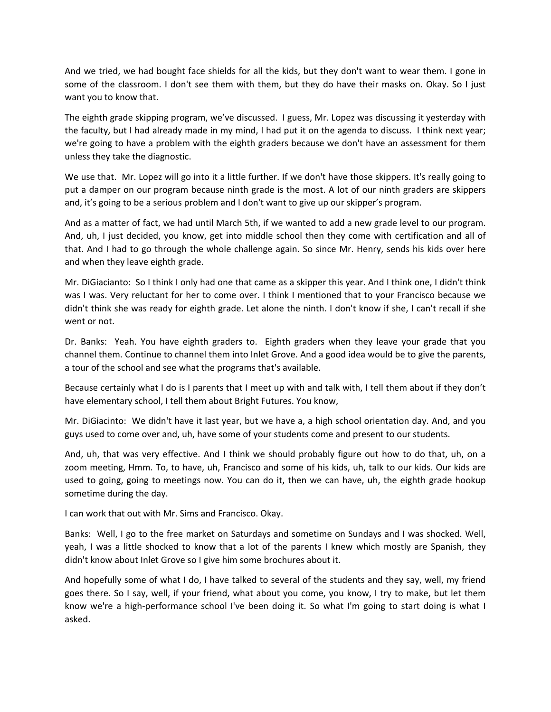And we tried, we had bought face shields for all the kids, but they don't want to wear them. I gone in some of the classroom. I don't see them with them, but they do have their masks on. Okay. So I just want you to know that.

The eighth grade skipping program, we've discussed. I guess, Mr. Lopez was discussing it yesterday with the faculty, but I had already made in my mind, I had put it on the agenda to discuss. I think next year; we're going to have a problem with the eighth graders because we don't have an assessment for them unless they take the diagnostic.

We use that. Mr. Lopez will go into it a little further. If we don't have those skippers. It's really going to put a damper on our program because ninth grade is the most. A lot of our ninth graders are skippers and, it's going to be a serious problem and I don't want to give up our skipper's program.

And as a matter of fact, we had until March 5th, if we wanted to add a new grade level to our program. And, uh, I just decided, you know, get into middle school then they come with certification and all of that. And I had to go through the whole challenge again. So since Mr. Henry, sends his kids over here and when they leave eighth grade.

Mr. DiGiacianto: So I think I only had one that came as a skipper this year. And I think one, I didn't think was I was. Very reluctant for her to come over. I think I mentioned that to your Francisco because we didn't think she was ready for eighth grade. Let alone the ninth. I don't know if she, I can't recall if she went or not.

Dr. Banks: Yeah. You have eighth graders to. Eighth graders when they leave your grade that you channel them. Continue to channel them into Inlet Grove. And a good idea would be to give the parents, a tour of the school and see what the programs that's available.

Because certainly what I do is I parents that I meet up with and talk with, I tell them about if they don't have elementary school, I tell them about Bright Futures. You know,

Mr. DiGiacinto: We didn't have it last year, but we have a, a high school orientation day. And, and you guys used to come over and, uh, have some of your students come and present to our students.

And, uh, that was very effective. And I think we should probably figure out how to do that, uh, on a zoom meeting, Hmm. To, to have, uh, Francisco and some of his kids, uh, talk to our kids. Our kids are used to going, going to meetings now. You can do it, then we can have, uh, the eighth grade hookup sometime during the day.

I can work that out with Mr. Sims and Francisco. Okay.

Banks: Well, I go to the free market on Saturdays and sometime on Sundays and I was shocked. Well, yeah, I was a little shocked to know that a lot of the parents I knew which mostly are Spanish, they didn't know about Inlet Grove so I give him some brochures about it.

And hopefully some of what I do, I have talked to several of the students and they say, well, my friend goes there. So I say, well, if your friend, what about you come, you know, I try to make, but let them know we're a high-performance school I've been doing it. So what I'm going to start doing is what I asked.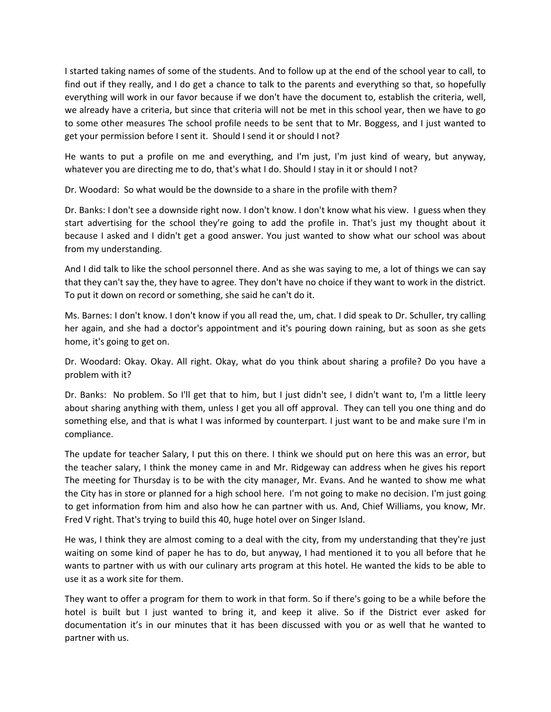I started taking names of some of the students. And to follow up at the end of the school year to call, to find out if they really, and I do get a chance to talk to the parents and everything so that, so hopefully everything will work in our favor because if we don't have the document to, establish the criteria, well, we already have a criteria, but since that criteria will not be met in this school year, then we have to go to some other measures The school profile needs to be sent that to Mr. Boggess, and I just wanted to get your permission before I sent it. Should I send it or should I not?

He wants to put a profile on me and everything, and I'm just, I'm just kind of weary, but anyway, whatever you are directing me to do, that's what I do. Should I stay in it or should I not?

Dr. Woodard: So what would be the downside to a share in the profile with them?

Dr. Banks: I don't see a downside right now. I don't know. I don't know what his view. I guess when they start advertising for the school they're going to add the profile in. That's just my thought about it because I asked and I didn't get a good answer. You just wanted to show what our school was about from my understanding.

And I did talk to like the school personnel there. And as she was saying to me, a lot of things we can say that they can't say the, they have to agree. They don't have no choice if they want to work in the district. To put it down on record or something, she said he can't do it.

Ms. Barnes: I don't know. I don't know if you all read the, um, chat. I did speak to Dr. Schuller, try calling her again, and she had a doctor's appointment and it's pouring down raining, but as soon as she gets home, it's going to get on.

Dr. Woodard: Okay. Okay. All right. Okay, what do you think about sharing a profile? Do you have a problem with it?

Dr. Banks: No problem. So I'll get that to him, but I just didn't see, I didn't want to, I'm a little leery about sharing anything with them, unless I get you all off approval. They can tell you one thing and do something else, and that is what I was informed by counterpart. I just want to be and make sure I'm in compliance.

The update for teacher Salary, I put this on there. I think we should put on here this was an error, but the teacher salary, I think the money came in and Mr. Ridgeway can address when he gives his report The meeting for Thursday is to be with the city manager, Mr. Evans. And he wanted to show me what the City has in store or planned for a high school here. I'm not going to make no decision. I'm just going to get information from him and also how he can partner with us. And, Chief Williams, you know, Mr. Fred V right. That's trying to build this 40, huge hotel over on Singer Island.

He was, I think they are almost coming to a deal with the city, from my understanding that they're just waiting on some kind of paper he has to do, but anyway, I had mentioned it to you all before that he wants to partner with us with our culinary arts program at this hotel. He wanted the kids to be able to use it as a work site for them.

They want to offer a program for them to work in that form. So if there's going to be a while before the hotel is built but I just wanted to bring it, and keep it alive. So if the District ever asked for documentation it's in our minutes that it has been discussed with you or as well that he wanted to partner with us.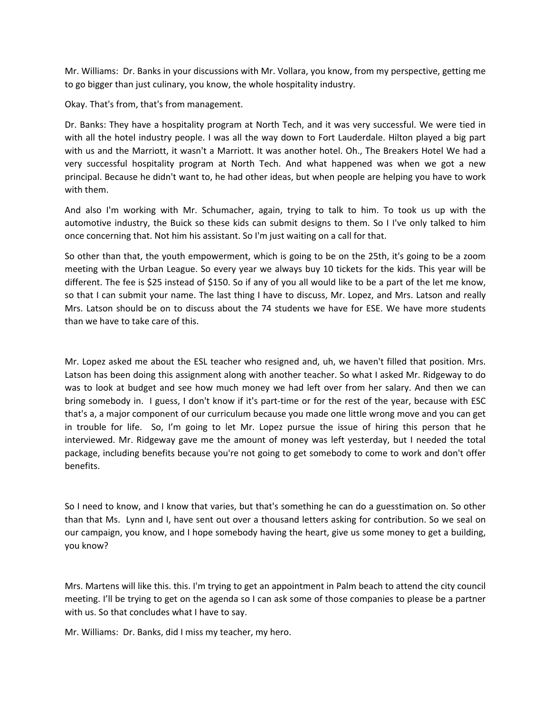Mr. Williams: Dr. Banks in your discussions with Mr. Vollara, you know, from my perspective, getting me to go bigger than just culinary, you know, the whole hospitality industry.

Okay. That's from, that's from management.

Dr. Banks: They have a hospitality program at North Tech, and it was very successful. We were tied in with all the hotel industry people. I was all the way down to Fort Lauderdale. Hilton played a big part with us and the Marriott, it wasn't a Marriott. It was another hotel. Oh., The Breakers Hotel We had a very successful hospitality program at North Tech. And what happened was when we got a new principal. Because he didn't want to, he had other ideas, but when people are helping you have to work with them.

And also I'm working with Mr. Schumacher, again, trying to talk to him. To took us up with the automotive industry, the Buick so these kids can submit designs to them. So I I've only talked to him once concerning that. Not him his assistant. So I'm just waiting on a call for that.

So other than that, the youth empowerment, which is going to be on the 25th, it's going to be a zoom meeting with the Urban League. So every year we always buy 10 tickets for the kids. This year will be different. The fee is \$25 instead of \$150. So if any of you all would like to be a part of the let me know, so that I can submit your name. The last thing I have to discuss, Mr. Lopez, and Mrs. Latson and really Mrs. Latson should be on to discuss about the 74 students we have for ESE. We have more students than we have to take care of this.

Mr. Lopez asked me about the ESL teacher who resigned and, uh, we haven't filled that position. Mrs. Latson has been doing this assignment along with another teacher. So what I asked Mr. Ridgeway to do was to look at budget and see how much money we had left over from her salary. And then we can bring somebody in. I guess, I don't know if it's part-time or for the rest of the year, because with ESC that's a, a major component of our curriculum because you made one little wrong move and you can get in trouble for life. So, I'm going to let Mr. Lopez pursue the issue of hiring this person that he interviewed. Mr. Ridgeway gave me the amount of money was left yesterday, but I needed the total package, including benefits because you're not going to get somebody to come to work and don't offer benefits.

So I need to know, and I know that varies, but that's something he can do a guesstimation on. So other than that Ms. Lynn and I, have sent out over a thousand letters asking for contribution. So we seal on our campaign, you know, and I hope somebody having the heart, give us some money to get a building, you know?

Mrs. Martens will like this. this. I'm trying to get an appointment in Palm beach to attend the city council meeting. I'll be trying to get on the agenda so I can ask some of those companies to please be a partner with us. So that concludes what I have to say.

Mr. Williams: Dr. Banks, did I miss my teacher, my hero.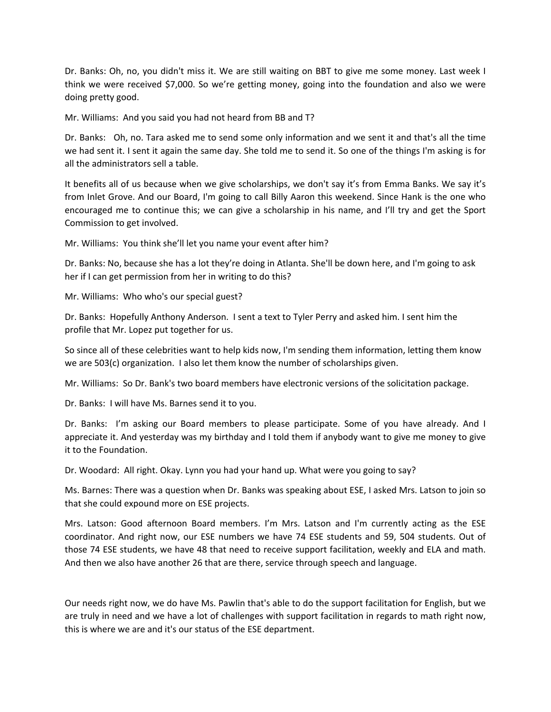Dr. Banks: Oh, no, you didn't miss it. We are still waiting on BBT to give me some money. Last week I think we were received \$7,000. So we're getting money, going into the foundation and also we were doing pretty good.

Mr. Williams: And you said you had not heard from BB and T?

Dr. Banks: Oh, no. Tara asked me to send some only information and we sent it and that's all the time we had sent it. I sent it again the same day. She told me to send it. So one of the things I'm asking is for all the administrators sell a table.

It benefits all of us because when we give scholarships, we don't say it's from Emma Banks. We say it's from Inlet Grove. And our Board, I'm going to call Billy Aaron this weekend. Since Hank is the one who encouraged me to continue this; we can give a scholarship in his name, and I'll try and get the Sport Commission to get involved.

Mr. Williams: You think she'll let you name your event after him?

Dr. Banks: No, because she has a lot they're doing in Atlanta. She'll be down here, and I'm going to ask her if I can get permission from her in writing to do this?

Mr. Williams: Who who's our special guest?

Dr. Banks: Hopefully Anthony Anderson. I sent a text to Tyler Perry and asked him. I sent him the profile that Mr. Lopez put together for us.

So since all of these celebrities want to help kids now, I'm sending them information, letting them know we are 503(c) organization. I also let them know the number of scholarships given.

Mr. Williams: So Dr. Bank's two board members have electronic versions of the solicitation package.

Dr. Banks: I will have Ms. Barnes send it to you.

Dr. Banks: I'm asking our Board members to please participate. Some of you have already. And I appreciate it. And yesterday was my birthday and I told them if anybody want to give me money to give it to the Foundation.

Dr. Woodard: All right. Okay. Lynn you had your hand up. What were you going to say?

Ms. Barnes: There was a question when Dr. Banks was speaking about ESE, I asked Mrs. Latson to join so that she could expound more on ESE projects.

Mrs. Latson: Good afternoon Board members. I'm Mrs. Latson and I'm currently acting as the ESE coordinator. And right now, our ESE numbers we have 74 ESE students and 59, 504 students. Out of those 74 ESE students, we have 48 that need to receive support facilitation, weekly and ELA and math. And then we also have another 26 that are there, service through speech and language.

Our needs right now, we do have Ms. Pawlin that's able to do the support facilitation for English, but we are truly in need and we have a lot of challenges with support facilitation in regards to math right now, this is where we are and it's our status of the ESE department.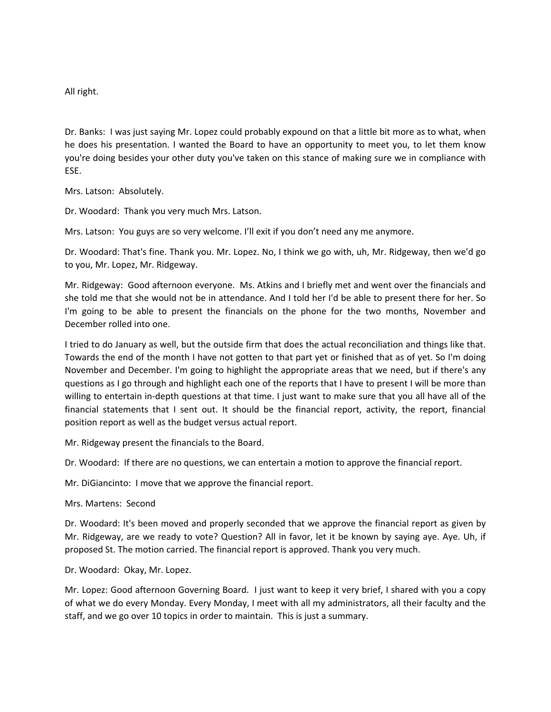All right.

Dr. Banks: I was just saying Mr. Lopez could probably expound on that a little bit more as to what, when he does his presentation. I wanted the Board to have an opportunity to meet you, to let them know you're doing besides your other duty you've taken on this stance of making sure we in compliance with ESE.

Mrs. Latson: Absolutely.

Dr. Woodard: Thank you very much Mrs. Latson.

Mrs. Latson: You guys are so very welcome. I'll exit if you don't need any me anymore.

Dr. Woodard: That's fine. Thank you. Mr. Lopez. No, I think we go with, uh, Mr. Ridgeway, then we'd go to you, Mr. Lopez, Mr. Ridgeway.

Mr. Ridgeway: Good afternoon everyone. Ms. Atkins and I briefly met and went over the financials and she told me that she would not be in attendance. And I told her I'd be able to present there for her. So I'm going to be able to present the financials on the phone for the two months, November and December rolled into one.

I tried to do January as well, but the outside firm that does the actual reconciliation and things like that. Towards the end of the month I have not gotten to that part yet or finished that as of yet. So I'm doing November and December. I'm going to highlight the appropriate areas that we need, but if there's any questions as I go through and highlight each one of the reports that I have to present I will be more than willing to entertain in-depth questions at that time. I just want to make sure that you all have all of the financial statements that I sent out. It should be the financial report, activity, the report, financial position report as well as the budget versus actual report.

Mr. Ridgeway present the financials to the Board.

Dr. Woodard: If there are no questions, we can entertain a motion to approve the financial report.

Mr. DiGiancinto: I move that we approve the financial report.

Mrs. Martens: Second

Dr. Woodard: It's been moved and properly seconded that we approve the financial report as given by Mr. Ridgeway, are we ready to vote? Question? All in favor, let it be known by saying aye. Aye. Uh, if proposed St. The motion carried. The financial report is approved. Thank you very much.

Dr. Woodard: Okay, Mr. Lopez.

Mr. Lopez: Good afternoon Governing Board. I just want to keep it very brief, I shared with you a copy of what we do every Monday. Every Monday, I meet with all my administrators, all their faculty and the staff, and we go over 10 topics in order to maintain. This is just a summary.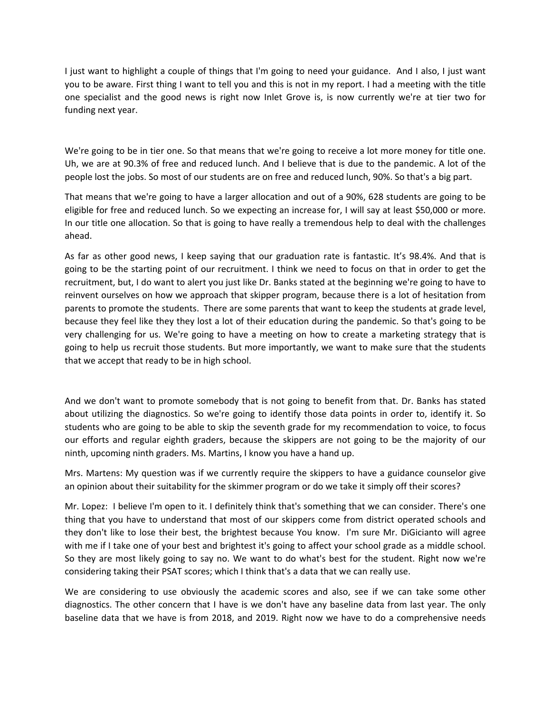I just want to highlight a couple of things that I'm going to need your guidance. And I also, I just want you to be aware. First thing I want to tell you and this is not in my report. I had a meeting with the title one specialist and the good news is right now Inlet Grove is, is now currently we're at tier two for funding next year.

We're going to be in tier one. So that means that we're going to receive a lot more money for title one. Uh, we are at 90.3% of free and reduced lunch. And I believe that is due to the pandemic. A lot of the people lost the jobs. So most of our students are on free and reduced lunch, 90%. So that's a big part.

That means that we're going to have a larger allocation and out of a 90%, 628 students are going to be eligible for free and reduced lunch. So we expecting an increase for, I will say at least \$50,000 or more. In our title one allocation. So that is going to have really a tremendous help to deal with the challenges ahead.

As far as other good news, I keep saying that our graduation rate is fantastic. It's 98.4%. And that is going to be the starting point of our recruitment. I think we need to focus on that in order to get the recruitment, but, I do want to alert you just like Dr. Banks stated at the beginning we're going to have to reinvent ourselves on how we approach that skipper program, because there is a lot of hesitation from parents to promote the students. There are some parents that want to keep the students at grade level, because they feel like they they lost a lot of their education during the pandemic. So that's going to be very challenging for us. We're going to have a meeting on how to create a marketing strategy that is going to help us recruit those students. But more importantly, we want to make sure that the students that we accept that ready to be in high school.

And we don't want to promote somebody that is not going to benefit from that. Dr. Banks has stated about utilizing the diagnostics. So we're going to identify those data points in order to, identify it. So students who are going to be able to skip the seventh grade for my recommendation to voice, to focus our efforts and regular eighth graders, because the skippers are not going to be the majority of our ninth, upcoming ninth graders. Ms. Martins, I know you have a hand up.

Mrs. Martens: My question was if we currently require the skippers to have a guidance counselor give an opinion about their suitability for the skimmer program or do we take it simply off their scores?

Mr. Lopez: I believe I'm open to it. I definitely think that's something that we can consider. There's one thing that you have to understand that most of our skippers come from district operated schools and they don't like to lose their best, the brightest because You know. I'm sure Mr. DiGicianto will agree with me if I take one of your best and brightest it's going to affect your school grade as a middle school. So they are most likely going to say no. We want to do what's best for the student. Right now we're considering taking their PSAT scores; which I think that's a data that we can really use.

We are considering to use obviously the academic scores and also, see if we can take some other diagnostics. The other concern that I have is we don't have any baseline data from last year. The only baseline data that we have is from 2018, and 2019. Right now we have to do a comprehensive needs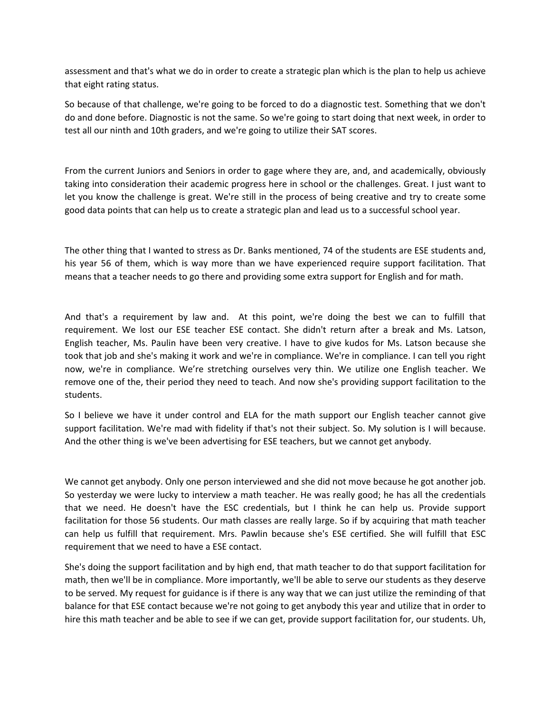assessment and that's what we do in order to create a strategic plan which is the plan to help us achieve that eight rating status.

So because of that challenge, we're going to be forced to do a diagnostic test. Something that we don't do and done before. Diagnostic is not the same. So we're going to start doing that next week, in order to test all our ninth and 10th graders, and we're going to utilize their SAT scores.

From the current Juniors and Seniors in order to gage where they are, and, and academically, obviously taking into consideration their academic progress here in school or the challenges. Great. I just want to let you know the challenge is great. We're still in the process of being creative and try to create some good data points that can help us to create a strategic plan and lead us to a successful school year.

The other thing that I wanted to stress as Dr. Banks mentioned, 74 of the students are ESE students and, his year 56 of them, which is way more than we have experienced require support facilitation. That means that a teacher needs to go there and providing some extra support for English and for math.

And that's a requirement by law and. At this point, we're doing the best we can to fulfill that requirement. We lost our ESE teacher ESE contact. She didn't return after a break and Ms. Latson, English teacher, Ms. Paulin have been very creative. I have to give kudos for Ms. Latson because she took that job and she's making it work and we're in compliance. We're in compliance. I can tell you right now, we're in compliance. We're stretching ourselves very thin. We utilize one English teacher. We remove one of the, their period they need to teach. And now she's providing support facilitation to the students.

So I believe we have it under control and ELA for the math support our English teacher cannot give support facilitation. We're mad with fidelity if that's not their subject. So. My solution is I will because. And the other thing is we've been advertising for ESE teachers, but we cannot get anybody.

We cannot get anybody. Only one person interviewed and she did not move because he got another job. So yesterday we were lucky to interview a math teacher. He was really good; he has all the credentials that we need. He doesn't have the ESC credentials, but I think he can help us. Provide support facilitation for those 56 students. Our math classes are really large. So if by acquiring that math teacher can help us fulfill that requirement. Mrs. Pawlin because she's ESE certified. She will fulfill that ESC requirement that we need to have a ESE contact.

She's doing the support facilitation and by high end, that math teacher to do that support facilitation for math, then we'll be in compliance. More importantly, we'll be able to serve our students as they deserve to be served. My request for guidance is if there is any way that we can just utilize the reminding of that balance for that ESE contact because we're not going to get anybody this year and utilize that in order to hire this math teacher and be able to see if we can get, provide support facilitation for, our students. Uh,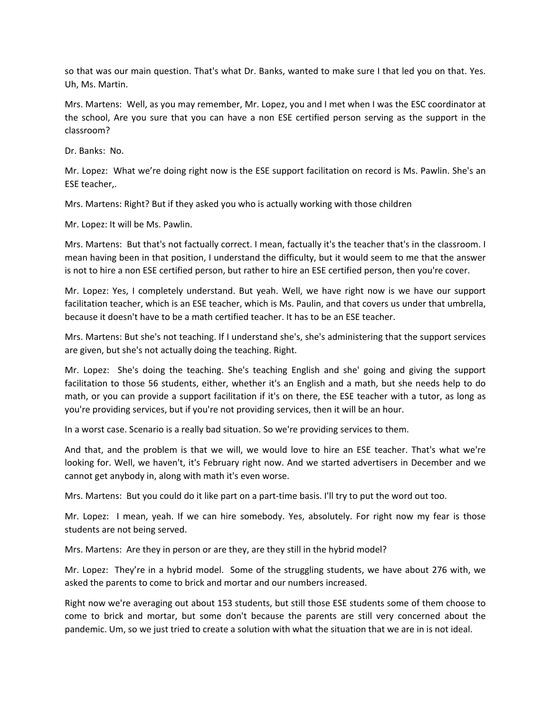so that was our main question. That's what Dr. Banks, wanted to make sure I that led you on that. Yes. Uh, Ms. Martin.

Mrs. Martens: Well, as you may remember, Mr. Lopez, you and I met when I was the ESC coordinator at the school, Are you sure that you can have a non ESE certified person serving as the support in the classroom?

Dr. Banks: No.

Mr. Lopez: What we're doing right now is the ESE support facilitation on record is Ms. Pawlin. She's an ESE teacher,.

Mrs. Martens: Right? But if they asked you who is actually working with those children

Mr. Lopez: It will be Ms. Pawlin.

Mrs. Martens: But that's not factually correct. I mean, factually it's the teacher that's in the classroom. I mean having been in that position, I understand the difficulty, but it would seem to me that the answer is not to hire a non ESE certified person, but rather to hire an ESE certified person, then you're cover.

Mr. Lopez: Yes, I completely understand. But yeah. Well, we have right now is we have our support facilitation teacher, which is an ESE teacher, which is Ms. Paulin, and that covers us under that umbrella, because it doesn't have to be a math certified teacher. It has to be an ESE teacher.

Mrs. Martens: But she's not teaching. If I understand she's, she's administering that the support services are given, but she's not actually doing the teaching. Right.

Mr. Lopez: She's doing the teaching. She's teaching English and she' going and giving the support facilitation to those 56 students, either, whether it's an English and a math, but she needs help to do math, or you can provide a support facilitation if it's on there, the ESE teacher with a tutor, as long as you're providing services, but if you're not providing services, then it will be an hour.

In a worst case. Scenario is a really bad situation. So we're providing services to them.

And that, and the problem is that we will, we would love to hire an ESE teacher. That's what we're looking for. Well, we haven't, it's February right now. And we started advertisers in December and we cannot get anybody in, along with math it's even worse.

Mrs. Martens: But you could do it like part on a part-time basis. I'll try to put the word out too.

Mr. Lopez: I mean, yeah. If we can hire somebody. Yes, absolutely. For right now my fear is those students are not being served.

Mrs. Martens: Are they in person or are they, are they still in the hybrid model?

Mr. Lopez: They're in a hybrid model. Some of the struggling students, we have about 276 with, we asked the parents to come to brick and mortar and our numbers increased.

Right now we're averaging out about 153 students, but still those ESE students some of them choose to come to brick and mortar, but some don't because the parents are still very concerned about the pandemic. Um, so we just tried to create a solution with what the situation that we are in is not ideal.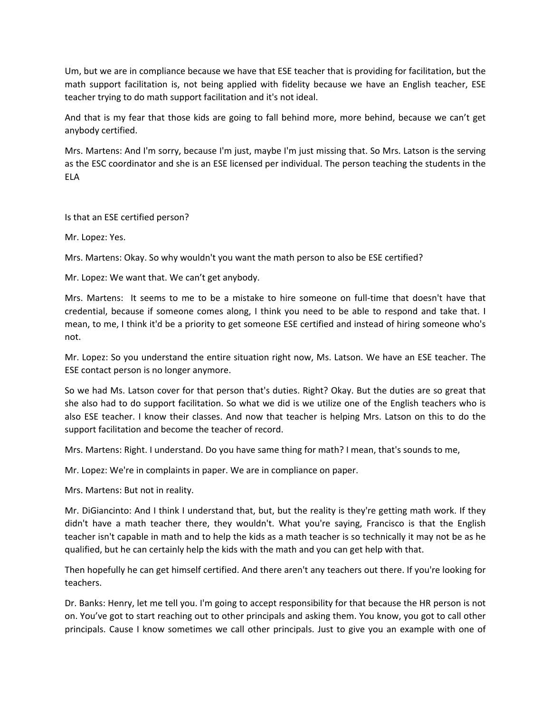Um, but we are in compliance because we have that ESE teacher that is providing for facilitation, but the math support facilitation is, not being applied with fidelity because we have an English teacher, ESE teacher trying to do math support facilitation and it's not ideal.

And that is my fear that those kids are going to fall behind more, more behind, because we can't get anybody certified.

Mrs. Martens: And I'm sorry, because I'm just, maybe I'm just missing that. So Mrs. Latson is the serving as the ESC coordinator and she is an ESE licensed per individual. The person teaching the students in the ELA

## Is that an ESE certified person?

Mr. Lopez: Yes.

Mrs. Martens: Okay. So why wouldn't you want the math person to also be ESE certified?

Mr. Lopez: We want that. We can't get anybody.

Mrs. Martens: It seems to me to be a mistake to hire someone on full-time that doesn't have that credential, because if someone comes along, I think you need to be able to respond and take that. I mean, to me, I think it'd be a priority to get someone ESE certified and instead of hiring someone who's not.

Mr. Lopez: So you understand the entire situation right now, Ms. Latson. We have an ESE teacher. The ESE contact person is no longer anymore.

So we had Ms. Latson cover for that person that's duties. Right? Okay. But the duties are so great that she also had to do support facilitation. So what we did is we utilize one of the English teachers who is also ESE teacher. I know their classes. And now that teacher is helping Mrs. Latson on this to do the support facilitation and become the teacher of record.

Mrs. Martens: Right. I understand. Do you have same thing for math? I mean, that's sounds to me,

Mr. Lopez: We're in complaints in paper. We are in compliance on paper.

Mrs. Martens: But not in reality.

Mr. DiGiancinto: And I think I understand that, but, but the reality is they're getting math work. If they didn't have a math teacher there, they wouldn't. What you're saying, Francisco is that the English teacher isn't capable in math and to help the kids as a math teacher is so technically it may not be as he qualified, but he can certainly help the kids with the math and you can get help with that.

Then hopefully he can get himself certified. And there aren't any teachers out there. If you're looking for teachers.

Dr. Banks: Henry, let me tell you. I'm going to accept responsibility for that because the HR person is not on. You've got to start reaching out to other principals and asking them. You know, you got to call other principals. Cause I know sometimes we call other principals. Just to give you an example with one of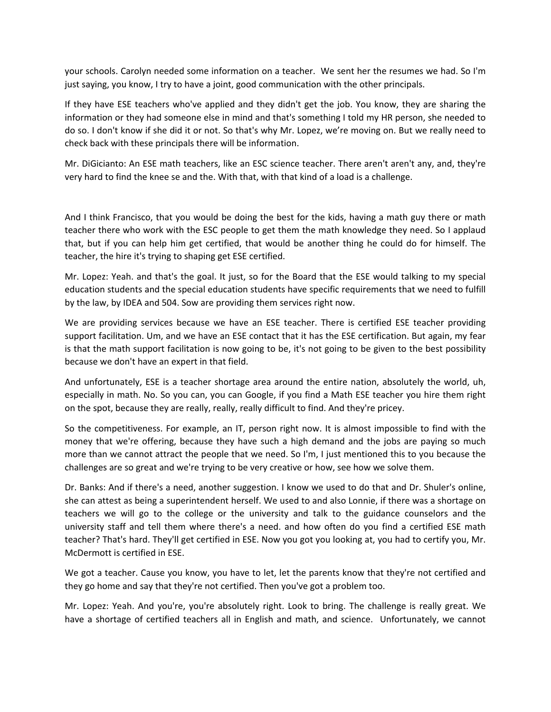your schools. Carolyn needed some information on a teacher. We sent her the resumes we had. So I'm just saying, you know, I try to have a joint, good communication with the other principals.

If they have ESE teachers who've applied and they didn't get the job. You know, they are sharing the information or they had someone else in mind and that's something I told my HR person, she needed to do so. I don't know if she did it or not. So that's why Mr. Lopez, we're moving on. But we really need to check back with these principals there will be information.

Mr. DiGicianto: An ESE math teachers, like an ESC science teacher. There aren't aren't any, and, they're very hard to find the knee se and the. With that, with that kind of a load is a challenge.

And I think Francisco, that you would be doing the best for the kids, having a math guy there or math teacher there who work with the ESC people to get them the math knowledge they need. So I applaud that, but if you can help him get certified, that would be another thing he could do for himself. The teacher, the hire it's trying to shaping get ESE certified.

Mr. Lopez: Yeah. and that's the goal. It just, so for the Board that the ESE would talking to my special education students and the special education students have specific requirements that we need to fulfill by the law, by IDEA and 504. Sow are providing them services right now.

We are providing services because we have an ESE teacher. There is certified ESE teacher providing support facilitation. Um, and we have an ESE contact that it has the ESE certification. But again, my fear is that the math support facilitation is now going to be, it's not going to be given to the best possibility because we don't have an expert in that field.

And unfortunately, ESE is a teacher shortage area around the entire nation, absolutely the world, uh, especially in math. No. So you can, you can Google, if you find a Math ESE teacher you hire them right on the spot, because they are really, really, really difficult to find. And they're pricey.

So the competitiveness. For example, an IT, person right now. It is almost impossible to find with the money that we're offering, because they have such a high demand and the jobs are paying so much more than we cannot attract the people that we need. So I'm, I just mentioned this to you because the challenges are so great and we're trying to be very creative or how, see how we solve them.

Dr. Banks: And if there's a need, another suggestion. I know we used to do that and Dr. Shuler's online, she can attest as being a superintendent herself. We used to and also Lonnie, if there was a shortage on teachers we will go to the college or the university and talk to the guidance counselors and the university staff and tell them where there's a need. and how often do you find a certified ESE math teacher? That's hard. They'll get certified in ESE. Now you got you looking at, you had to certify you, Mr. McDermott is certified in ESE.

We got a teacher. Cause you know, you have to let, let the parents know that they're not certified and they go home and say that they're not certified. Then you've got a problem too.

Mr. Lopez: Yeah. And you're, you're absolutely right. Look to bring. The challenge is really great. We have a shortage of certified teachers all in English and math, and science. Unfortunately, we cannot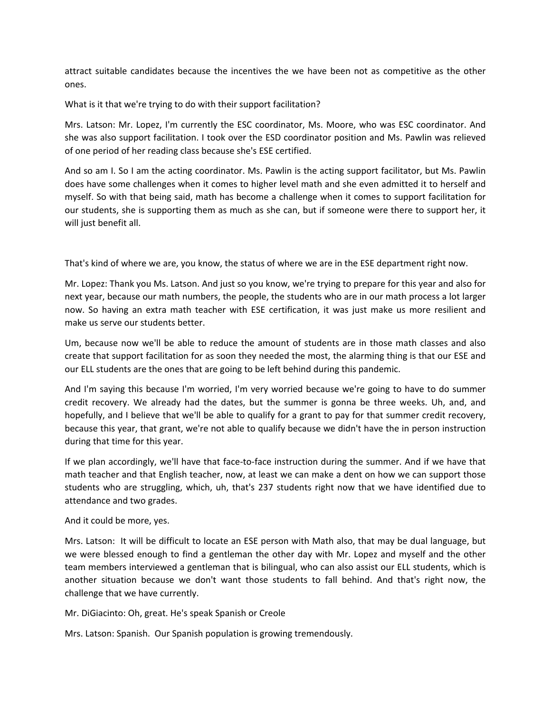attract suitable candidates because the incentives the we have been not as competitive as the other ones.

What is it that we're trying to do with their support facilitation?

Mrs. Latson: Mr. Lopez, I'm currently the ESC coordinator, Ms. Moore, who was ESC coordinator. And she was also support facilitation. I took over the ESD coordinator position and Ms. Pawlin was relieved of one period of her reading class because she's ESE certified.

And so am I. So I am the acting coordinator. Ms. Pawlin is the acting support facilitator, but Ms. Pawlin does have some challenges when it comes to higher level math and she even admitted it to herself and myself. So with that being said, math has become a challenge when it comes to support facilitation for our students, she is supporting them as much as she can, but if someone were there to support her, it will just benefit all.

That's kind of where we are, you know, the status of where we are in the ESE department right now.

Mr. Lopez: Thank you Ms. Latson. And just so you know, we're trying to prepare for this year and also for next year, because our math numbers, the people, the students who are in our math process a lot larger now. So having an extra math teacher with ESE certification, it was just make us more resilient and make us serve our students better.

Um, because now we'll be able to reduce the amount of students are in those math classes and also create that support facilitation for as soon they needed the most, the alarming thing is that our ESE and our ELL students are the ones that are going to be left behind during this pandemic.

And I'm saying this because I'm worried, I'm very worried because we're going to have to do summer credit recovery. We already had the dates, but the summer is gonna be three weeks. Uh, and, and hopefully, and I believe that we'll be able to qualify for a grant to pay for that summer credit recovery, because this year, that grant, we're not able to qualify because we didn't have the in person instruction during that time for this year.

If we plan accordingly, we'll have that face-to-face instruction during the summer. And if we have that math teacher and that English teacher, now, at least we can make a dent on how we can support those students who are struggling, which, uh, that's 237 students right now that we have identified due to attendance and two grades.

And it could be more, yes.

Mrs. Latson: It will be difficult to locate an ESE person with Math also, that may be dual language, but we were blessed enough to find a gentleman the other day with Mr. Lopez and myself and the other team members interviewed a gentleman that is bilingual, who can also assist our ELL students, which is another situation because we don't want those students to fall behind. And that's right now, the challenge that we have currently.

Mr. DiGiacinto: Oh, great. He's speak Spanish or Creole

Mrs. Latson: Spanish. Our Spanish population is growing tremendously.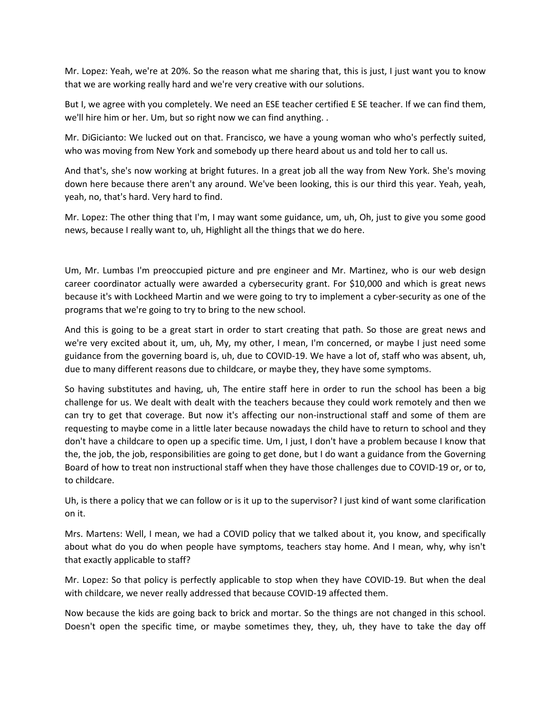Mr. Lopez: Yeah, we're at 20%. So the reason what me sharing that, this is just, I just want you to know that we are working really hard and we're very creative with our solutions.

But I, we agree with you completely. We need an ESE teacher certified E SE teacher. If we can find them, we'll hire him or her. Um, but so right now we can find anything. .

Mr. DiGicianto: We lucked out on that. Francisco, we have a young woman who who's perfectly suited, who was moving from New York and somebody up there heard about us and told her to call us.

And that's, she's now working at bright futures. In a great job all the way from New York. She's moving down here because there aren't any around. We've been looking, this is our third this year. Yeah, yeah, yeah, no, that's hard. Very hard to find.

Mr. Lopez: The other thing that I'm, I may want some guidance, um, uh, Oh, just to give you some good news, because I really want to, uh, Highlight all the things that we do here.

Um, Mr. Lumbas I'm preoccupied picture and pre engineer and Mr. Martinez, who is our web design career coordinator actually were awarded a cybersecurity grant. For \$10,000 and which is great news because it's with Lockheed Martin and we were going to try to implement a cyber-security as one of the programs that we're going to try to bring to the new school.

And this is going to be a great start in order to start creating that path. So those are great news and we're very excited about it, um, uh, My, my other, I mean, I'm concerned, or maybe I just need some guidance from the governing board is, uh, due to COVID-19. We have a lot of, staff who was absent, uh, due to many different reasons due to childcare, or maybe they, they have some symptoms.

So having substitutes and having, uh, The entire staff here in order to run the school has been a big challenge for us. We dealt with dealt with the teachers because they could work remotely and then we can try to get that coverage. But now it's affecting our non-instructional staff and some of them are requesting to maybe come in a little later because nowadays the child have to return to school and they don't have a childcare to open up a specific time. Um, I just, I don't have a problem because I know that the, the job, the job, responsibilities are going to get done, but I do want a guidance from the Governing Board of how to treat non instructional staff when they have those challenges due to COVID-19 or, or to, to childcare.

Uh, is there a policy that we can follow or is it up to the supervisor? I just kind of want some clarification on it.

Mrs. Martens: Well, I mean, we had a COVID policy that we talked about it, you know, and specifically about what do you do when people have symptoms, teachers stay home. And I mean, why, why isn't that exactly applicable to staff?

Mr. Lopez: So that policy is perfectly applicable to stop when they have COVID-19. But when the deal with childcare, we never really addressed that because COVID-19 affected them.

Now because the kids are going back to brick and mortar. So the things are not changed in this school. Doesn't open the specific time, or maybe sometimes they, they, uh, they have to take the day off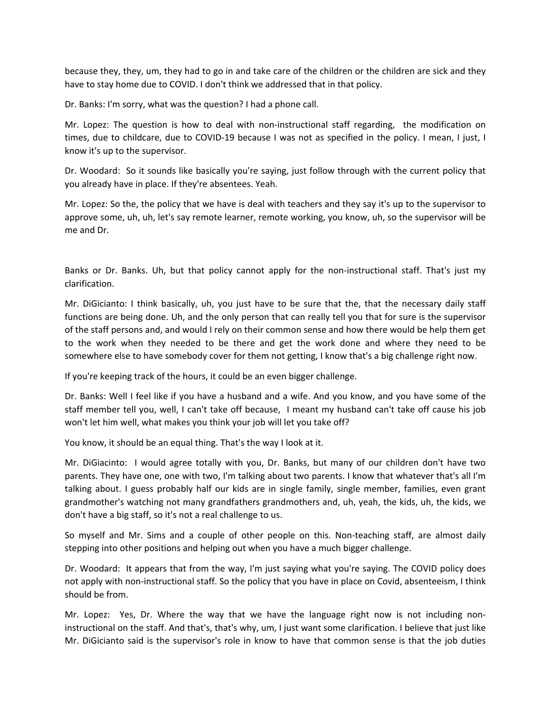because they, they, um, they had to go in and take care of the children or the children are sick and they have to stay home due to COVID. I don't think we addressed that in that policy.

Dr. Banks: I'm sorry, what was the question? I had a phone call.

Mr. Lopez: The question is how to deal with non-instructional staff regarding, the modification on times, due to childcare, due to COVID-19 because I was not as specified in the policy. I mean, I just, I know it's up to the supervisor.

Dr. Woodard: So it sounds like basically you're saying, just follow through with the current policy that you already have in place. If they're absentees. Yeah.

Mr. Lopez: So the, the policy that we have is deal with teachers and they say it's up to the supervisor to approve some, uh, uh, let's say remote learner, remote working, you know, uh, so the supervisor will be me and Dr.

Banks or Dr. Banks. Uh, but that policy cannot apply for the non-instructional staff. That's just my clarification.

Mr. DiGicianto: I think basically, uh, you just have to be sure that the, that the necessary daily staff functions are being done. Uh, and the only person that can really tell you that for sure is the supervisor of the staff persons and, and would I rely on their common sense and how there would be help them get to the work when they needed to be there and get the work done and where they need to be somewhere else to have somebody cover for them not getting, I know that's a big challenge right now.

If you're keeping track of the hours, it could be an even bigger challenge.

Dr. Banks: Well I feel like if you have a husband and a wife. And you know, and you have some of the staff member tell you, well, I can't take off because, I meant my husband can't take off cause his job won't let him well, what makes you think your job will let you take off?

You know, it should be an equal thing. That's the way I look at it.

Mr. DiGiacinto: I would agree totally with you, Dr. Banks, but many of our children don't have two parents. They have one, one with two, I'm talking about two parents. I know that whatever that's all I'm talking about. I guess probably half our kids are in single family, single member, families, even grant grandmother's watching not many grandfathers grandmothers and, uh, yeah, the kids, uh, the kids, we don't have a big staff, so it's not a real challenge to us.

So myself and Mr. Sims and a couple of other people on this. Non-teaching staff, are almost daily stepping into other positions and helping out when you have a much bigger challenge.

Dr. Woodard: It appears that from the way, I'm just saying what you're saying. The COVID policy does not apply with non-instructional staff. So the policy that you have in place on Covid, absenteeism, I think should be from.

Mr. Lopez: Yes, Dr. Where the way that we have the language right now is not including noninstructional on the staff. And that's, that's why, um, I just want some clarification. I believe that just like Mr. DiGicianto said is the supervisor's role in know to have that common sense is that the job duties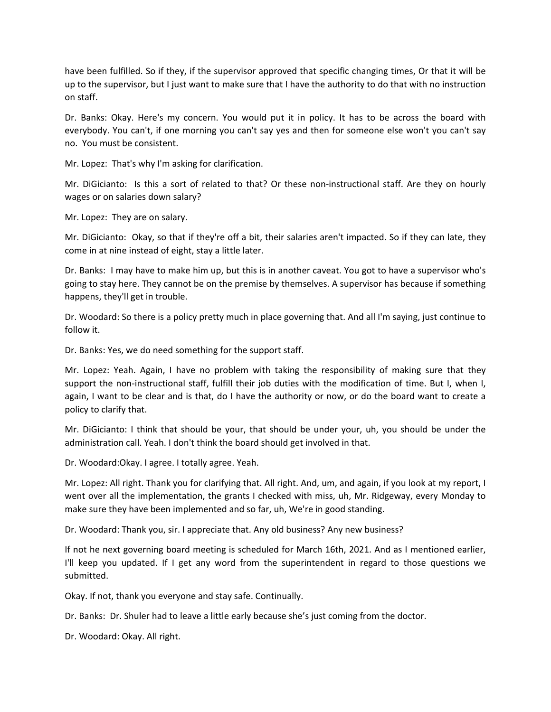have been fulfilled. So if they, if the supervisor approved that specific changing times, Or that it will be up to the supervisor, but I just want to make sure that I have the authority to do that with no instruction on staff.

Dr. Banks: Okay. Here's my concern. You would put it in policy. It has to be across the board with everybody. You can't, if one morning you can't say yes and then for someone else won't you can't say no. You must be consistent.

Mr. Lopez: That's why I'm asking for clarification.

Mr. DiGicianto: Is this a sort of related to that? Or these non-instructional staff. Are they on hourly wages or on salaries down salary?

Mr. Lopez: They are on salary.

Mr. DiGicianto: Okay, so that if they're off a bit, their salaries aren't impacted. So if they can late, they come in at nine instead of eight, stay a little later.

Dr. Banks: I may have to make him up, but this is in another caveat. You got to have a supervisor who's going to stay here. They cannot be on the premise by themselves. A supervisor has because if something happens, they'll get in trouble.

Dr. Woodard: So there is a policy pretty much in place governing that. And all I'm saying, just continue to follow it.

Dr. Banks: Yes, we do need something for the support staff.

Mr. Lopez: Yeah. Again, I have no problem with taking the responsibility of making sure that they support the non-instructional staff, fulfill their job duties with the modification of time. But I, when I, again, I want to be clear and is that, do I have the authority or now, or do the board want to create a policy to clarify that.

Mr. DiGicianto: I think that should be your, that should be under your, uh, you should be under the administration call. Yeah. I don't think the board should get involved in that.

Dr. Woodard:Okay. I agree. I totally agree. Yeah.

Mr. Lopez: All right. Thank you for clarifying that. All right. And, um, and again, if you look at my report, I went over all the implementation, the grants I checked with miss, uh, Mr. Ridgeway, every Monday to make sure they have been implemented and so far, uh, We're in good standing.

Dr. Woodard: Thank you, sir. I appreciate that. Any old business? Any new business?

If not he next governing board meeting is scheduled for March 16th, 2021. And as I mentioned earlier, I'll keep you updated. If I get any word from the superintendent in regard to those questions we submitted.

Okay. If not, thank you everyone and stay safe. Continually.

Dr. Banks: Dr. Shuler had to leave a little early because she's just coming from the doctor.

Dr. Woodard: Okay. All right.